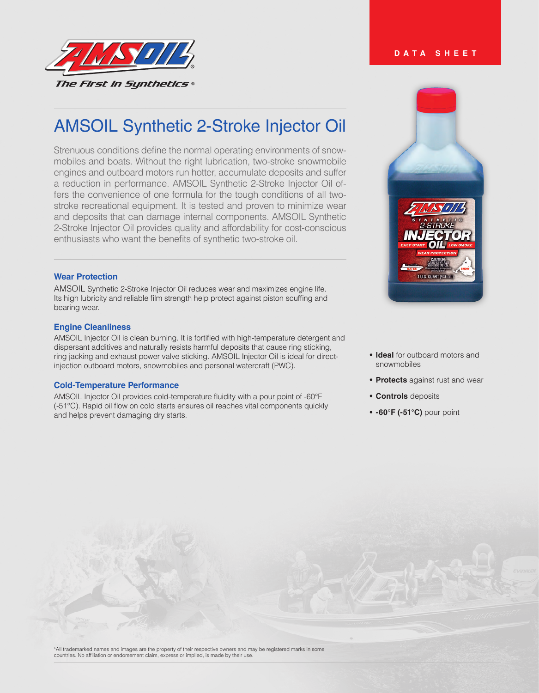

# AMSOIL Synthetic 2-Stroke Injector Oil

Strenuous conditions define the normal operating environments of snowmobiles and boats. Without the right lubrication, two-stroke snowmobile engines and outboard motors run hotter, accumulate deposits and suffer a reduction in performance. AMSOIL Synthetic 2-Stroke Injector Oil offers the convenience of one formula for the tough conditions of all twostroke recreational equipment. It is tested and proven to minimize wear and deposits that can damage internal components. AMSOIL Synthetic 2-Stroke Injector Oil provides quality and affordability for cost-conscious enthusiasts who want the benefits of synthetic two-stroke oil.

## **Wear Protection**

AMSOIL Synthetic 2-Stroke Injector Oil reduces wear and maximizes engine life. Its high lubricity and reliable film strength help protect against piston scuffing and bearing wear.

## **Engine Cleanliness**

AMSOIL Injector Oil is clean burning. It is fortified with high-temperature detergent and dispersant additives and naturally resists harmful deposits that cause ring sticking, ring jacking and exhaust power valve sticking. AMSOIL Injector Oil is ideal for directinjection outboard motors, snowmobiles and personal watercraft (PWC).

### **Cold-Temperature Performance**

AMSOIL Injector Oil provides cold-temperature fluidity with a pour point of -60°F (-51°C). Rapid oil flow on cold starts ensures oil reaches vital components quickly and helps prevent damaging dry starts.



- **• Ideal** for outboard motors and snowmobiles
- **• Protects** against rust and wear
- **• Controls** deposits
- **• -60°F (-51°C)** pour point

**DATA SHEET**

\*All trademarked names and images are the property of their respective owners and may be registered marks in some countries. No affiliation or endorsement claim, express or implied, is made by their use.